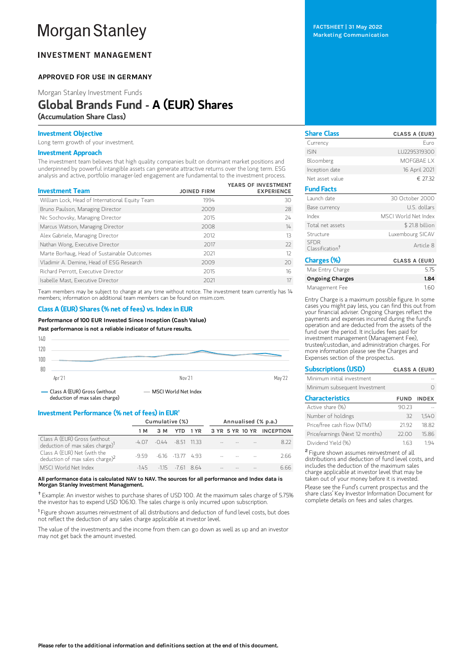# **Morgan Stanley**

## **INVESTMENT MANAGEMENT**

## APPROVED FOR USE IN GERMANY

Morgan Stanley Investment Funds

## Global Brands Fund - A (EUR) Shares (Accumulation Share Class)

## Investment Objective

Long term growth of your investment.

## Investment Approach

The investment team believes that high quality companies built on dominant market positions and underpinned by powerful intangible assets can generate attractive returns over the long term. ESG analysis and active, portfolio manager-led engagement are fundamental to the investment process.

|                                                 |                    | YEARS OF INVESTMENT |
|-------------------------------------------------|--------------------|---------------------|
| <b>Investment Team</b>                          | <b>JOINED FIRM</b> | <b>EXPERIENCE</b>   |
| William Lock, Head of International Equity Team | 1994               | 30                  |
| Bruno Paulson, Managing Director                | 2009               | 28                  |
| Nic Sochovsky, Managing Director                | 2015               | 24                  |
| Marcus Watson, Managing Director                | 2008               | 14                  |
| Alex Gabriele, Managing Director                | 2012               | 13                  |
| Nathan Wong, Executive Director                 | 2017               | $22$                |
| Marte Borhaug, Head of Sustainable Outcomes     | 2021               | 12                  |
| Vladimir A. Demine, Head of ESG Research        | 2009               | 20                  |
| Richard Perrott, Executive Director             | 2015               | 16                  |
| Isabelle Mast, Executive Director               | 2021               | 17                  |

Team members may be subject to change at any time without notice. The investment team currently has 14 members; information on additional team members can be found on msim.com.

## Class A (EUR) Shares (% net of fees) vs. Index in EUR

## Performance of100 EUR Invested Since Inception (Cash Value)

Past performance is not a reliable indicator of future results.



## Investment Performance (% net of fees) in EUR †

|                                                                             | Cumulative (%) |                              |  |          |  | Annualised (% p.a.)        |                           |
|-----------------------------------------------------------------------------|----------------|------------------------------|--|----------|--|----------------------------|---------------------------|
|                                                                             | 1 M            | 3 M                          |  | YTD 1 YR |  |                            | 3 YR 5 YR 10 YR INCEPTION |
| Class A (EUR) Gross (without<br>deduction of max sales charge) <sup>1</sup> |                | $-407 -044 -851133$          |  |          |  | المقارب المقارب المقارب    | 822                       |
| Class A (EUR) Net (with the<br>$deduction$ of max sales charge) $^{2}$      |                | $-9.59 - 6.16 - 13.77 + 9.3$ |  |          |  | the company of the company | 2.66                      |
| MSCI World Net Index                                                        |                | $-145$ $-115$ $-761$ 864     |  |          |  |                            | 666                       |

## All performance data is calculated NAV to NAV. The sources for all performance and Index data is Morgan Stanley Investment Management.

Example: An investor wishes to purchase shares of USD 100. At the maximum sales charge of 5.75% **†** the investor has to expend USD 106.10. The sales charge is only incurred upon subscription.

<sup>1</sup> Figure shown assumes reinvestment of all distributions and deduction of fund level costs, but does not reflect the deduction of any sales charge applicable at investor level.

The value of the investments and the income from them can go down as well as up and an investor may not get back the amount invested.

FACTSHEET | 31 May 2022 Marketing Communication

| <b>Share Class</b>                         | <b>CLASS A (EUR)</b> |
|--------------------------------------------|----------------------|
| Currency                                   | Furo                 |
| <b>ISIN</b>                                | LU2295319300         |
| Bloomberg                                  | MOFGBAF I X          |
| Inception date                             | 16 April 2021        |
| Net asset value                            | € 27.32              |
| <b>Fund Facts</b>                          |                      |
| Launch date                                | 30 October 2000      |
| Base currency                              | U.S. dollars         |
| Index                                      | MSCI World Net Index |
| Total net assets                           | \$21.8 billion       |
| Structure                                  | Luxembourg SICAV     |
| <b>SEDR</b><br>Classification <sup>†</sup> | Article 8            |
| Charges (%)                                | CLASS A (EUR)        |
| Max Entry Charge                           | 5.75                 |
| <b>Ongoing Charges</b>                     | 1.84                 |

Management Fee 1.60

Entry Charge is a maximum possible figure. In some cases you might pay less, you can find this out from your financial adviser. Ongoing Charges reflect the payments and expenses incurred during the fund's operation and are deducted from the assets of the fund over the period. It includes fees paid for investment management (Management Fee), trustee/custodian, and administration charges. For more information please see the Charges and Expenses section of the prospectus.

| <b>Subscriptions (USD)</b>      | CLASS A (EUR) |                   |
|---------------------------------|---------------|-------------------|
| Minimum initial investment      |               |                   |
| Minimum subsequent Investment   |               |                   |
| <b>Characteristics</b>          |               | <b>FUND INDEX</b> |
| Active share (%)                | 90.23         |                   |
| Number of holdings              | 32            | 1,540             |
| Price/free cash flow (NTM)      | 2192          | 18.82             |
| Price/earnings (Next 12 months) | 22.00         | 15.86             |
| Dividend Yield (%)              | 163           | 194               |

<sup>2</sup> Figure shown assumes reinvestment of all distributions and deduction of fund level costs, and includes the deduction of the maximum sales charge applicable at investor level that may be taken out of your money before it is invested. Please see the Fund's current prospectus and the share class' Key Investor Information Document for complete details on fees and sales charges.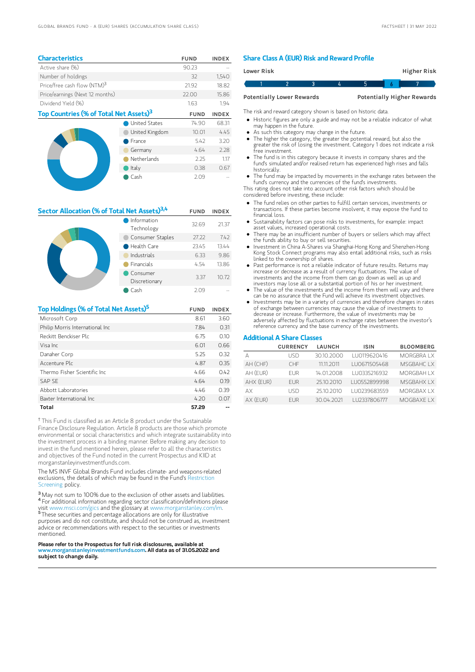| <b>Characteristics</b>                             |                      | <b>FUND</b>  | <b>INDEX</b> |
|----------------------------------------------------|----------------------|--------------|--------------|
| Active share (%)                                   |                      | 90.23        |              |
| Number of holdings                                 |                      | 32           | 1,540        |
| Price/free cash flow (NTM) <sup>3</sup>            |                      | 2192         | 18.82        |
| Price/earnings (Next 12 months)                    |                      | 22.00        | 15.86        |
| Dividend Yield (%)                                 |                      | 1.63         | 194          |
| Top Countries (% of Total Net Assets) <sup>3</sup> | <b>FUND</b>          | <b>INDEX</b> |              |
|                                                    | <b>United States</b> | 74 90        | 6831         |

|  | onneed bedeep  | $\cdots$ | ---  |
|--|----------------|----------|------|
|  | United Kingdom | 10.01    | 4.45 |
|  | France         | 5.42     | 3.20 |
|  | Germany        | 4.64     | 2.28 |
|  | Netherlands    | 2.25     | 1.17 |
|  | Italy          | 0.38     | 0.67 |
|  | Cash           | 2.09     |      |
|  |                |          |      |

| Sector Allocation (% of Total Net Assets) <sup>3,4</sup> | <b>FUND</b>               | <b>INDEX</b> |       |
|----------------------------------------------------------|---------------------------|--------------|-------|
|                                                          | Information<br>Technology | 32.69        | 21.37 |
|                                                          | Consumer Staples          | 27.22        | 7.42  |
| Health Care                                              |                           | 23.45        | 13.44 |
|                                                          | Industrials               | 6.33         | 9.86  |
|                                                          | <b>Financials</b>         | 4.54         | 13.86 |
|                                                          | Consumer<br>Discretionary | 3.37         | 10.72 |
|                                                          | Cash                      | 2 09         |       |

| Top Holdings (% of Total Net Assets) <sup>5</sup> | <b>FUND</b> | <b>INDEX</b> |
|---------------------------------------------------|-------------|--------------|
| Microsoft Corp                                    | 8.61        | 3.60         |
| Philip Morris International Inc                   | 7.84        | 0.31         |
| Reckitt Benckiser Plc                             | 6.75        | 0.10         |
| Visa Inc                                          | 6.01        | 0.66         |
| Danaher Corp                                      | 5.25        | 0.32         |
| Accenture Plc                                     | 4.87        | 0.35         |
| Thermo Fisher Scientific Inc.                     | 4.66        | 0.42         |
| <b>SAP SE</b>                                     | 4.64        | 0.19         |
| Abbott Laboratories                               | 4.46        | 0.39         |
| Baxter International Inc.                         | 4.20        | 0.07         |
| Total                                             | 57.29       |              |

 $^\dagger$  This Fund is classified as an Article 8 product under the Sustainable Finance Disclosure Regulation. Article 8 products are those which promote environmental or social characteristics and which integrate sustainability into the investment process in a binding manner. Before making any decision to invest in the fund mentioned herein, please refer to all the characteristics and objectives of the Fund noted in the current Prospectus and KIID at morganstanleyinvestmentfunds.com.

The MS INVF Global Brands Fund includes climate- and weapons-related [exclusions,](https://www.morganstanley.com/im/publication/msinvf/material/rsp_msinvf_gb_gbei_gq_en.pdf?1654720968714) the details of which may be found in the Fund's Restriction Screening policy.

<sup>3</sup> May not sum to 100% due to the exclusion of other assets and liabilities. <sup>4</sup> For additional information regarding sector classification/definitions please visit www.msci.com/gics and the glossary at www.morganstanley.com/im. <sup>5</sup>These securities and percentage allocations are only for illustrative purposes and do not constitute, and should not be construed as, investment advice or recommendations with respect to the securities or investments mentioned.

Please refer to the Prospectus for full risk disclosures, available at www.morganstanleyinvestmentfunds.com. All data as of 31.05.2022 and subject to change daily.

## Share Class A (EUR) Risk and Reward Profile

|                                  | Lower Risk |  |  |  | Higher Risk                       |  |
|----------------------------------|------------|--|--|--|-----------------------------------|--|
|                                  |            |  |  |  |                                   |  |
| <b>Potentially Lower Rewards</b> |            |  |  |  | <b>Potentially Higher Rewards</b> |  |

The risk and reward category shown is based on historic data.

- Historic figures are only a guide and may not be a reliable indicator of what may happen in the future.
- As such this category may change in the future.
- The higher the category, the greater the potential reward, but also the greater the risk of losing the investment. Category 1 does not indicate a risk free investment.
- The fund is in this category because it invests in company shares and the fund's simulated and/or realised return has experienced high rises and falls historically.
- The fund may be impacted by movements in the exchange rates between the fund's currency and the currencies of the fund's investments.

This rating does not take into account other risk factors which should be considered before investing, these include:

- The fund relies on other parties to fulfill certain services, investments or transactions. If these parties become insolvent, it may expose the fund to financial loss.
- Sustainability factors can pose risks to investments, for example: impact asset values, increased operational costs.
- There may be an insufficient number of buyers or sellers which may affect the funds ability to buy or sell securities.
- Investment in China A-Shares via Shanghai-Hong Kong and Shenzhen-Hong Kong Stock Connect programs may also entail additional risks, such as risks linked to the ownership of shares.
- Past performance is not a reliable indicator of future results. Returns may increase or decrease as a result of currency fluctuations. The value of investments and the income from them can go down as well as up and investors may lose all or a substantial portion of his or her investment.
- The value of the investments and the income from them will vary and there can be no assurance that the Fund will achieve its investment objectives.
- Investments may be in a variety of currencies and therefore changes in rates of exchange between currencies may cause the value of investments to decrease or increase. Furthermore, the value of investments may be adversely affected by fluctuations in exchange rates between the investor's reference currency and the base currency of the investments.

## Additional A Share Classes

|           | <b>CURRENCY</b> | <b>LAUNCH</b> | <b>ISIN</b>  | <b>BLOOMBERG</b> |
|-----------|-----------------|---------------|--------------|------------------|
|           | LISD            | 30.10.2000    | LU0119620416 | <b>MORGBRALX</b> |
| AH (CHF)  | CHF             | 1111 2011     | LU0671505468 | MSGBAHC IX       |
| AH (EUR)  | <b>FUR</b>      | 14.01.2008    | LU0335216932 | MORGBAH I X      |
| AHX (EUR) | <b>FUR</b>      | 25.10.2010    | LU0552899998 | MSGBAHX IX       |
| AΧ        | l ISD.          | 25.10.2010    | LU0239683559 | MORGBAX I X      |
| AX (EUR)  | <b>FUR</b>      | 30.04.2021    | LU2337806777 | MOGBAXE I X      |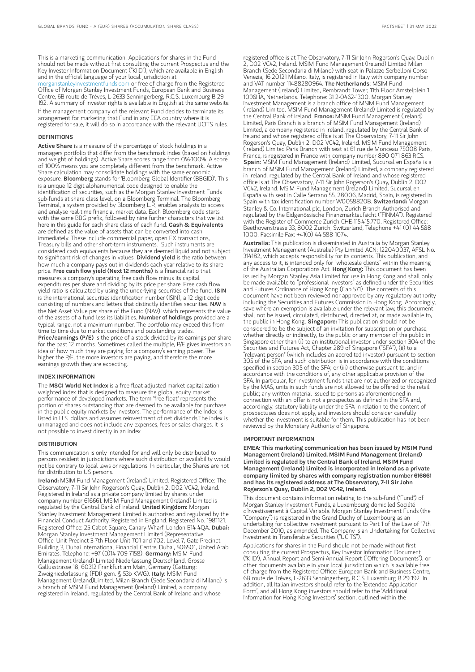This is a marketing communication. Applications for shares in the Fund should not be made without first consulting the current Prospectus and the Key Investor Information Document ("KIID"), which are available in English and in the official language of your local jurisdiction at [morganstanleyinvestmentfunds.com](https://www.morganstanley.com/im/msinvf/index.html) or free of charge from the Registered Office of Morgan Stanley Investment Funds, European Bank and Business Centre, 6B route de Trèves, L-2633 Senningerberg, R.C.S. Luxemburg B 29 192. A summary of investor rights is available in English at the same website. If the management company of the relevant Fund decides to terminate its arrangement for marketing that Fund in any EEA country where it is registered for sale, it will do so in accordance with the relevant UCITS rules.

#### DEFINITIONS

Active Share is a measure of the percentage of stock holdings in a managers portfolio that differ from the benchmark index (based on holdings and weight of holdings). Active Share scores range from 0%-100%. A score of 100% means you are completely different from the benchmark. Active Share calculation may consolidate holdings with the same economic exposure. Bloomberg stands for 'Bloomberg Global Identifier (BBGID)'. This is a unique 12 digit alphanumerical code designed to enable the identification of securities, such as the Morgan Stanley Investment Funds sub-funds at share class level, on a Bloomberg Terminal. The Bloomberg Terminal, a system provided by Bloomberg L.P., enables analysts to access and analyse real-time financial market data. Each Bloomberg code starts with the same BBG prefix, followed by nine further characters that we list here in this guide for each share class of each fund. Cash & Equivalents are defined as the value of assets that can be converted into cash immediately. These include commercial paper, open FX transactions, Treasury bills and other short-term instruments. Such instruments are considered cash equivalents because they are deemed liquid and not subject to significant risk of changes in values. Dividend yield is the ratio between how much a company pays out in dividends each year relative to its share<br>price. **Free cash flow yield (Next 12 months)** is a financial ratio that measures a company's operating free cash flow minus its capital expenditures per share and dividing by its price per share. Free cash flow yield ratio is calculated by using the underlying securities of the fund. ISIN is the international securities identification number (ISIN), a 12 digit code consisting of numbers and letters that distinctly identifies securities. NAV is the Net Asset Value per share of the Fund (NAV), which represents the value of the assets of a fund less its liabilities. Number of holdings provided are a typical range, not a maximum number. The portfolio may exceed this from time to time due to market conditions and outstanding trades. Price/earnings (P/E) is the price of a stock divided by its earnings per share for the past 12 months. Sometimes called the multiple, P/E gives investors an idea of how much they are paying for a company's earning power. The higher the P/E, the more investors are paying, and therefore the more earnings growth they are expecting.

#### INDEX INFORMATION

The MSCI World Net Index is a free float adjusted market capitalization weighted index that is designed to measure the global equity market performance of developed markets. The term "free float" represents the portion of shares outstanding that are deemed to be available for purchase in the public equity markets by investors. The performance of the Index is listed in U.S. dollars and assumes reinvestment of net dividends.The index is unmanaged and does not include any expenses, fees or sales charges. It is not possible to invest directly in an index.

#### DISTRIBUTION

This communication is only intended for and will only be distributed to persons resident in jurisdictions where such distribution or availability would not be contrary to local laws or regulations. In particular, the Shares are not for distribution to US persons.

Ireland: MSIM Fund Management (Ireland) Limited. Registered Office: The Observatory, 7-11 Sir John Rogerson's Quay, Dublin 2, D02 VC42, Ireland. Registered in Ireland as a private company limited by shares under company number 616661. MSIM Fund Management (Ireland) Limited is regulated by the Central Bank of Ireland. United Kingdom: Morgan Stanley Investment Management Limited is authorised and regulated by the Financial Conduct Authority. Registered in England. Registered No. 1981121. Registered Office: 25 Cabot Square, Canary Wharf, London E14 4QA. Dubai: Morgan Stanley Investment Management Limited (Representative Office, Unit Precinct 3-7th Floor-Unit 701 and 702, Level 7, Gate Precinct Building 3, Dubai International Financial Centre, Dubai, 506501, United Arab<br>Emirates. Telephone: +97 (0)14 709 7158). **Germany:** MSIM Fund Management (Ireland) Limited Niederlassung Deutschland, Grosse Gallusstrasse 18, 60312 Frankfurt am Main, Germany (Gattung: Zweigniederlassung (FDI) gem. § 53b KWG). **Italy**: MSIM Fund Management (Ireland)Limited, Milan Branch (Sede Secondaria di Milano) is a branch of MSIM Fund Management (Ireland) Limited, a company registered in Ireland, regulated by the Central Bank of Ireland and whose

registered office is at The Observatory, 7-11 Sir John Rogerson's Quay, Dublin 2, D02 VC42, Ireland. MSIM Fund Management (Ireland) Limited Milan Branch (Sede Secondaria di Milano) with seat in Palazzo Serbelloni Corso Venezia, 16 20121 Milano, Italy, is registered in Italy with company number<br>and VAT number 11488280964. **The Netherlands**: MSIM Fund Management (Ireland) Limited, Rembrandt Tower, 11th Floor Amstelplein 1 1096HA, Netherlands. Telephone: 31 2-0462-1300. Morgan Stanley Investment Management is a branch office of MSIM Fund Management (Ireland) Limited. MSIM Fund Management (Ireland) Limited is regulated by the Central Bank of Ireland. France: MSIM Fund Management (Ireland) Limited, Paris Branch is a branch of MSIM Fund Management (Ireland) Limited, a company registered in Ireland, regulated by the Central Bank of Ireland and whose registered office is at The Observatory, 7-11 Sir John Rogerson's Quay, Dublin 2, D02 VC42, Ireland. MSIM Fund Management (Ireland) Limited Paris Branch with seat at 61 rue de Monceau 75008 Paris, France, is registered in France with company number 890 071 863 RCS. Spain: MSIM Fund Management (Ireland) Limited, Sucursal en España is a branch of MSIM Fund Management (Ireland) Limited, a company registered in Ireland, regulated by the Central Bank of Ireland and whose registered office is at The Observatory, 7-11 Sir John Rogerson's Quay, Dublin 2, D02 VC42, Ireland. MSIM Fund Management (Ireland) Limited, Sucursal en España with seat in Calle Serrano 55, 28006, Madrid, Spain, is registered in Spain with tax identification number W0058820B. Switzerland: Morgan Stanley & Co. International plc, London, Zurich Branch Authorised and regulated by the Eidgenössische Finanzmarktaufsicht ("FINMA"). Registered with the Register of Commerce Zurich CHE-115.415.770. Registered Office: Beethovenstrasse 33, 8002 Zurich, Switzerland, Telephone +41 (0) 44 588 1000. Facsimile Fax: +41(0) 44 588 1074.

Australia: This publication is disseminated in Australia by Morgan Stanley Investment Management (Australia) Pty Limited ACN: 122040037, AFSL No. 314182, which accepts responsibility for its contents. This publication, and any access to it, is intended only for "wholesale clients" within the meaning of the Australian Corporations Act. **Hong Kong:** This document has been issued by Morgan Stanley Asia Limited for use in Hong Kong and shall only be made available to "professional investors" as defined under the Securities and Futures Ordinance of Hong Kong (Cap 571). The contents of this document have not been reviewed nor approved by any regulatory authority including the Securities and Futures Commission in Hong Kong. Accordingly, save where an exemption is available under the relevant law, this document shall not be issued, circulated, distributed, directed at, or made available to, the public in Hong Kong. Singapore: This publication should not be considered to be the subject of an invitation for subscription or purchase, whether directly or indirectly, to the public or any member of the public Singapore other than (i) to an institutional investor under section 304 of the Securities and Futures Act, Chapter 289 of Singapore ("SFA"), (ii) to a "relevant person" (which includes an accredited investor) pursuant to section 305 of the SFA, and such distribution is in accordance with the conditions specified in section 305 of the SFA; or (iii) otherwise pursuant to, and in accordance with the conditions of, any other applicable provision of the SFA. In particular, for investment funds that are not authorized or recognized by the MAS, units in such funds are not allowed to be offered to the retail public; any written material issued to persons as aforementioned in connection with an offer is not a prospectus as defined in the SFA and, accordingly, statutory liability under the SFA in relation to the content of prospectuses does not apply, and investors should consider carefully whether the investment is suitable for them. This publication has not been reviewed by the Monetary Authority of Singapore.

#### IMPORTANT INFORMATION

EMEA: This marketing communication has been issued by MSIM Fund Management (Ireland) Limited. MSIM Fund Management (Ireland) Limited is regulated by the Central Bank of Ireland. MSIM Fund Management (Ireland) Limited is incorporated in Ireland as a private company limited by shares with company registration number 616661 and has its registered address at The Observatory, 7-11 Sir John Rogerson's Quay, Dublin 2, D02 VC42, Ireland.

This document contains information relating to the sub-fund ("Fund") of Morgan Stanley Investment Funds, a Luxembourg domiciled Société d'Investissement à Capital Variable. Morgan Stanley Investment Funds (the "Company") is registered in the Grand Duchy of Luxembourg as an undertaking for collective investment pursuant to Part 1 of the Law of 17th December 2010, as amended. The Company is an Undertaking for Collective Investment in Transferable Securities ("UCITS").

Applications for shares in the Fund should not be made without first consulting the current Prospectus, Key Investor Information Document ("KIID"), Annual Report and Semi-Annual Report ("Offering Documents"), or other documents available in your local jurisdiction which is available free of charge from the Registered Office: European Bank and Business Centre, 6B route de Trèves, L-2633 Senningerberg, R.C.S. Luxemburg B 29 192. In addition, all Italian investors should refer to the 'Extended Application Form', and all Hong Kong investors should refer to the 'Additional Information for Hong Kong Investors' section, outlined within the